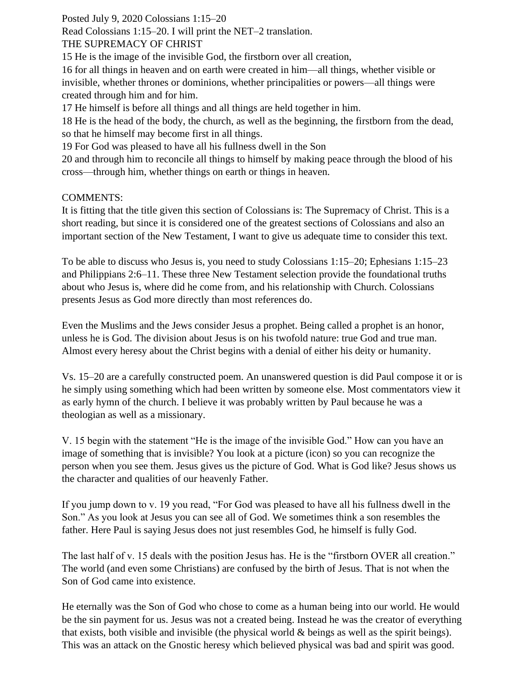Posted July 9, 2020 Colossians 1:15–20

Read Colossians 1:15–20. I will print the NET–2 translation.

## THE SUPREMACY OF CHRIST

15 He is the image of the invisible God, the firstborn over all creation,

16 for all things in heaven and on earth were created in him—all things, whether visible or invisible, whether thrones or dominions, whether principalities or powers—all things were created through him and for him.

17 He himself is before all things and all things are held together in him.

18 He is the head of the body, the church, as well as the beginning, the firstborn from the dead, so that he himself may become first in all things.

19 For God was pleased to have all his fullness dwell in the Son

20 and through him to reconcile all things to himself by making peace through the blood of his cross—through him, whether things on earth or things in heaven.

## COMMENTS:

It is fitting that the title given this section of Colossians is: The Supremacy of Christ. This is a short reading, but since it is considered one of the greatest sections of Colossians and also an important section of the New Testament, I want to give us adequate time to consider this text.

To be able to discuss who Jesus is, you need to study Colossians 1:15–20; Ephesians 1:15–23 and Philippians 2:6–11. These three New Testament selection provide the foundational truths about who Jesus is, where did he come from, and his relationship with Church. Colossians presents Jesus as God more directly than most references do.

Even the Muslims and the Jews consider Jesus a prophet. Being called a prophet is an honor, unless he is God. The division about Jesus is on his twofold nature: true God and true man. Almost every heresy about the Christ begins with a denial of either his deity or humanity.

Vs. 15–20 are a carefully constructed poem. An unanswered question is did Paul compose it or is he simply using something which had been written by someone else. Most commentators view it as early hymn of the church. I believe it was probably written by Paul because he was a theologian as well as a missionary.

V. 15 begin with the statement "He is the image of the invisible God." How can you have an image of something that is invisible? You look at a picture (icon) so you can recognize the person when you see them. Jesus gives us the picture of God. What is God like? Jesus shows us the character and qualities of our heavenly Father.

If you jump down to v. 19 you read, "For God was pleased to have all his fullness dwell in the Son." As you look at Jesus you can see all of God. We sometimes think a son resembles the father. Here Paul is saying Jesus does not just resembles God, he himself is fully God.

The last half of v. 15 deals with the position Jesus has. He is the "firstborn OVER all creation." The world (and even some Christians) are confused by the birth of Jesus. That is not when the Son of God came into existence.

He eternally was the Son of God who chose to come as a human being into our world. He would be the sin payment for us. Jesus was not a created being. Instead he was the creator of everything that exists, both visible and invisible (the physical world & beings as well as the spirit beings). This was an attack on the Gnostic heresy which believed physical was bad and spirit was good.